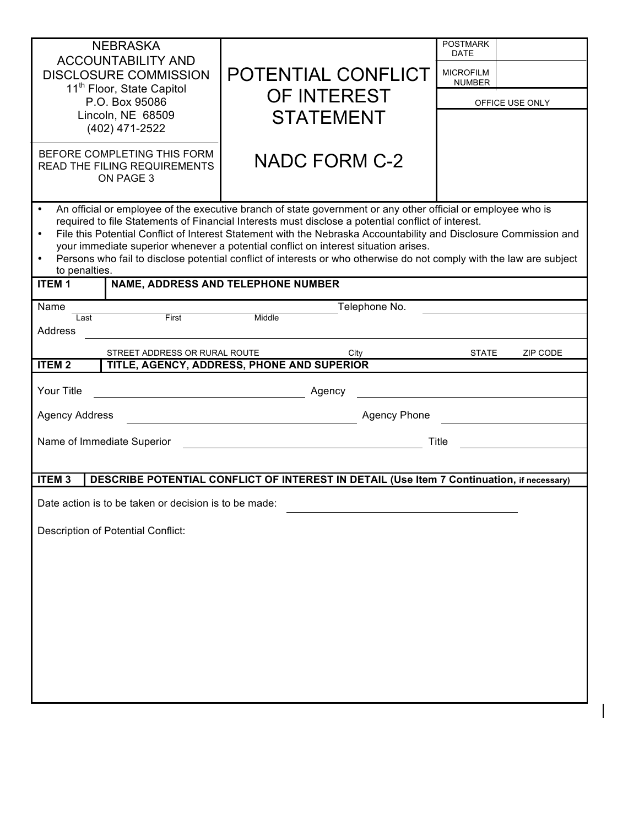| <b>NEBRASKA</b><br><b>ACCOUNTABILITY AND</b><br><b>DISCLOSURE COMMISSION</b><br>11 <sup>th</sup> Floor, State Capitol<br>P.O. Box 95086<br>Lincoln, NE 68509<br>(402) 471-2522<br>BEFORE COMPLETING THIS FORM<br><b>READ THE FILING REQUIREMENTS</b><br>ON PAGE 3                                                                                                                                                                                                                                                                                                                                             |                               | POTENTIAL CONFLICT<br>OF INTEREST<br><b>STATEMENT</b><br><b>NADC FORM C-2</b> | <b>POSTMARK</b><br><b>DATE</b><br><b>MICROFILM</b><br><b>NUMBER</b><br>OFFICE USE ONLY |  |  |
|---------------------------------------------------------------------------------------------------------------------------------------------------------------------------------------------------------------------------------------------------------------------------------------------------------------------------------------------------------------------------------------------------------------------------------------------------------------------------------------------------------------------------------------------------------------------------------------------------------------|-------------------------------|-------------------------------------------------------------------------------|----------------------------------------------------------------------------------------|--|--|
| An official or employee of the executive branch of state government or any other official or employee who is<br>required to file Statements of Financial Interests must disclose a potential conflict of interest.<br>File this Potential Conflict of Interest Statement with the Nebraska Accountability and Disclosure Commission and<br>your immediate superior whenever a potential conflict on interest situation arises.<br>Persons who fail to disclose potential conflict of interests or who otherwise do not comply with the law are subject<br>to penalties.<br>NAME, ADDRESS AND TELEPHONE NUMBER |                               |                                                                               |                                                                                        |  |  |
| <b>ITEM1</b>                                                                                                                                                                                                                                                                                                                                                                                                                                                                                                                                                                                                  |                               |                                                                               |                                                                                        |  |  |
| Name                                                                                                                                                                                                                                                                                                                                                                                                                                                                                                                                                                                                          |                               | Telephone No.                                                                 |                                                                                        |  |  |
| Last<br>Address                                                                                                                                                                                                                                                                                                                                                                                                                                                                                                                                                                                               | First                         | Middle                                                                        |                                                                                        |  |  |
|                                                                                                                                                                                                                                                                                                                                                                                                                                                                                                                                                                                                               |                               |                                                                               |                                                                                        |  |  |
|                                                                                                                                                                                                                                                                                                                                                                                                                                                                                                                                                                                                               | STREET ADDRESS OR RURAL ROUTE | City                                                                          | <b>STATE</b><br>ZIP CODE                                                               |  |  |
| <b>ITEM2</b>                                                                                                                                                                                                                                                                                                                                                                                                                                                                                                                                                                                                  |                               | TITLE, AGENCY, ADDRESS, PHONE AND SUPERIOR                                    |                                                                                        |  |  |
| Your Title<br>Agency                                                                                                                                                                                                                                                                                                                                                                                                                                                                                                                                                                                          |                               |                                                                               |                                                                                        |  |  |
| <b>Agency Address</b><br><b>Agency Phone</b>                                                                                                                                                                                                                                                                                                                                                                                                                                                                                                                                                                  |                               |                                                                               |                                                                                        |  |  |
| Name of Immediate Superior                                                                                                                                                                                                                                                                                                                                                                                                                                                                                                                                                                                    |                               |                                                                               | Title                                                                                  |  |  |
|                                                                                                                                                                                                                                                                                                                                                                                                                                                                                                                                                                                                               |                               |                                                                               |                                                                                        |  |  |
| <b>ITEM3</b><br>DESCRIBE POTENTIAL CONFLICT OF INTEREST IN DETAIL (Use Item 7 Continuation, if necessary)                                                                                                                                                                                                                                                                                                                                                                                                                                                                                                     |                               |                                                                               |                                                                                        |  |  |
|                                                                                                                                                                                                                                                                                                                                                                                                                                                                                                                                                                                                               |                               |                                                                               |                                                                                        |  |  |
| Date action is to be taken or decision is to be made:                                                                                                                                                                                                                                                                                                                                                                                                                                                                                                                                                         |                               |                                                                               |                                                                                        |  |  |
| <b>Description of Potential Conflict:</b>                                                                                                                                                                                                                                                                                                                                                                                                                                                                                                                                                                     |                               |                                                                               |                                                                                        |  |  |
|                                                                                                                                                                                                                                                                                                                                                                                                                                                                                                                                                                                                               |                               |                                                                               |                                                                                        |  |  |
|                                                                                                                                                                                                                                                                                                                                                                                                                                                                                                                                                                                                               |                               |                                                                               |                                                                                        |  |  |
|                                                                                                                                                                                                                                                                                                                                                                                                                                                                                                                                                                                                               |                               |                                                                               |                                                                                        |  |  |
|                                                                                                                                                                                                                                                                                                                                                                                                                                                                                                                                                                                                               |                               |                                                                               |                                                                                        |  |  |
|                                                                                                                                                                                                                                                                                                                                                                                                                                                                                                                                                                                                               |                               |                                                                               |                                                                                        |  |  |
|                                                                                                                                                                                                                                                                                                                                                                                                                                                                                                                                                                                                               |                               |                                                                               |                                                                                        |  |  |
|                                                                                                                                                                                                                                                                                                                                                                                                                                                                                                                                                                                                               |                               |                                                                               |                                                                                        |  |  |
|                                                                                                                                                                                                                                                                                                                                                                                                                                                                                                                                                                                                               |                               |                                                                               |                                                                                        |  |  |
|                                                                                                                                                                                                                                                                                                                                                                                                                                                                                                                                                                                                               |                               |                                                                               |                                                                                        |  |  |
|                                                                                                                                                                                                                                                                                                                                                                                                                                                                                                                                                                                                               |                               |                                                                               |                                                                                        |  |  |
|                                                                                                                                                                                                                                                                                                                                                                                                                                                                                                                                                                                                               |                               |                                                                               |                                                                                        |  |  |
|                                                                                                                                                                                                                                                                                                                                                                                                                                                                                                                                                                                                               |                               |                                                                               |                                                                                        |  |  |

 $\mathsf{l}$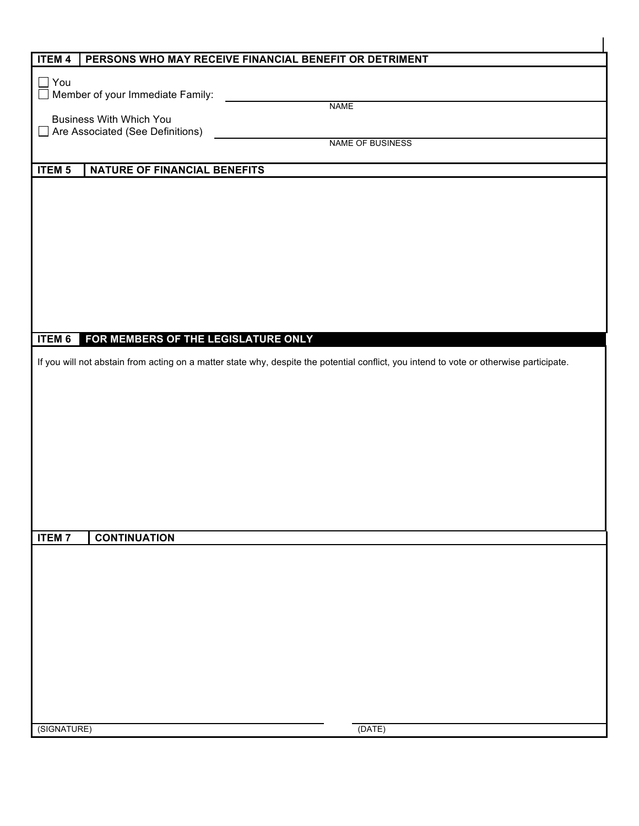| <b>ITEM 4</b><br>PERSONS WHO MAY RECEIVE FINANCIAL BENEFIT OR DETRIMENT<br>$\Box$ You<br>Member of your Immediate Family:<br><b>NAME</b><br><b>Business With Which You</b><br>Are Associated (See Definitions)<br>NAME OF BUSINESS<br><b>ITEM 5</b><br>NATURE OF FINANCIAL BENEFITS<br>FOR MEMBERS OF THE LEGISLATURE ONLY<br><b>ITEM 6</b><br>If you will not abstain from acting on a matter state why, despite the potential conflict, you intend to vote or otherwise participate.<br><b>ITEM7</b><br><b>CONTINUATION</b><br>(DATE)<br>(SIGNATURE) |  |  |  |  |  |  |
|--------------------------------------------------------------------------------------------------------------------------------------------------------------------------------------------------------------------------------------------------------------------------------------------------------------------------------------------------------------------------------------------------------------------------------------------------------------------------------------------------------------------------------------------------------|--|--|--|--|--|--|
|                                                                                                                                                                                                                                                                                                                                                                                                                                                                                                                                                        |  |  |  |  |  |  |
|                                                                                                                                                                                                                                                                                                                                                                                                                                                                                                                                                        |  |  |  |  |  |  |
|                                                                                                                                                                                                                                                                                                                                                                                                                                                                                                                                                        |  |  |  |  |  |  |
|                                                                                                                                                                                                                                                                                                                                                                                                                                                                                                                                                        |  |  |  |  |  |  |
|                                                                                                                                                                                                                                                                                                                                                                                                                                                                                                                                                        |  |  |  |  |  |  |
|                                                                                                                                                                                                                                                                                                                                                                                                                                                                                                                                                        |  |  |  |  |  |  |
|                                                                                                                                                                                                                                                                                                                                                                                                                                                                                                                                                        |  |  |  |  |  |  |
|                                                                                                                                                                                                                                                                                                                                                                                                                                                                                                                                                        |  |  |  |  |  |  |
|                                                                                                                                                                                                                                                                                                                                                                                                                                                                                                                                                        |  |  |  |  |  |  |
|                                                                                                                                                                                                                                                                                                                                                                                                                                                                                                                                                        |  |  |  |  |  |  |
|                                                                                                                                                                                                                                                                                                                                                                                                                                                                                                                                                        |  |  |  |  |  |  |
|                                                                                                                                                                                                                                                                                                                                                                                                                                                                                                                                                        |  |  |  |  |  |  |
|                                                                                                                                                                                                                                                                                                                                                                                                                                                                                                                                                        |  |  |  |  |  |  |
|                                                                                                                                                                                                                                                                                                                                                                                                                                                                                                                                                        |  |  |  |  |  |  |
|                                                                                                                                                                                                                                                                                                                                                                                                                                                                                                                                                        |  |  |  |  |  |  |
|                                                                                                                                                                                                                                                                                                                                                                                                                                                                                                                                                        |  |  |  |  |  |  |
|                                                                                                                                                                                                                                                                                                                                                                                                                                                                                                                                                        |  |  |  |  |  |  |
|                                                                                                                                                                                                                                                                                                                                                                                                                                                                                                                                                        |  |  |  |  |  |  |
|                                                                                                                                                                                                                                                                                                                                                                                                                                                                                                                                                        |  |  |  |  |  |  |
|                                                                                                                                                                                                                                                                                                                                                                                                                                                                                                                                                        |  |  |  |  |  |  |
|                                                                                                                                                                                                                                                                                                                                                                                                                                                                                                                                                        |  |  |  |  |  |  |
|                                                                                                                                                                                                                                                                                                                                                                                                                                                                                                                                                        |  |  |  |  |  |  |
|                                                                                                                                                                                                                                                                                                                                                                                                                                                                                                                                                        |  |  |  |  |  |  |
|                                                                                                                                                                                                                                                                                                                                                                                                                                                                                                                                                        |  |  |  |  |  |  |
|                                                                                                                                                                                                                                                                                                                                                                                                                                                                                                                                                        |  |  |  |  |  |  |
|                                                                                                                                                                                                                                                                                                                                                                                                                                                                                                                                                        |  |  |  |  |  |  |
|                                                                                                                                                                                                                                                                                                                                                                                                                                                                                                                                                        |  |  |  |  |  |  |
|                                                                                                                                                                                                                                                                                                                                                                                                                                                                                                                                                        |  |  |  |  |  |  |
|                                                                                                                                                                                                                                                                                                                                                                                                                                                                                                                                                        |  |  |  |  |  |  |
|                                                                                                                                                                                                                                                                                                                                                                                                                                                                                                                                                        |  |  |  |  |  |  |
|                                                                                                                                                                                                                                                                                                                                                                                                                                                                                                                                                        |  |  |  |  |  |  |
|                                                                                                                                                                                                                                                                                                                                                                                                                                                                                                                                                        |  |  |  |  |  |  |
|                                                                                                                                                                                                                                                                                                                                                                                                                                                                                                                                                        |  |  |  |  |  |  |
|                                                                                                                                                                                                                                                                                                                                                                                                                                                                                                                                                        |  |  |  |  |  |  |
|                                                                                                                                                                                                                                                                                                                                                                                                                                                                                                                                                        |  |  |  |  |  |  |
|                                                                                                                                                                                                                                                                                                                                                                                                                                                                                                                                                        |  |  |  |  |  |  |
|                                                                                                                                                                                                                                                                                                                                                                                                                                                                                                                                                        |  |  |  |  |  |  |
|                                                                                                                                                                                                                                                                                                                                                                                                                                                                                                                                                        |  |  |  |  |  |  |
|                                                                                                                                                                                                                                                                                                                                                                                                                                                                                                                                                        |  |  |  |  |  |  |